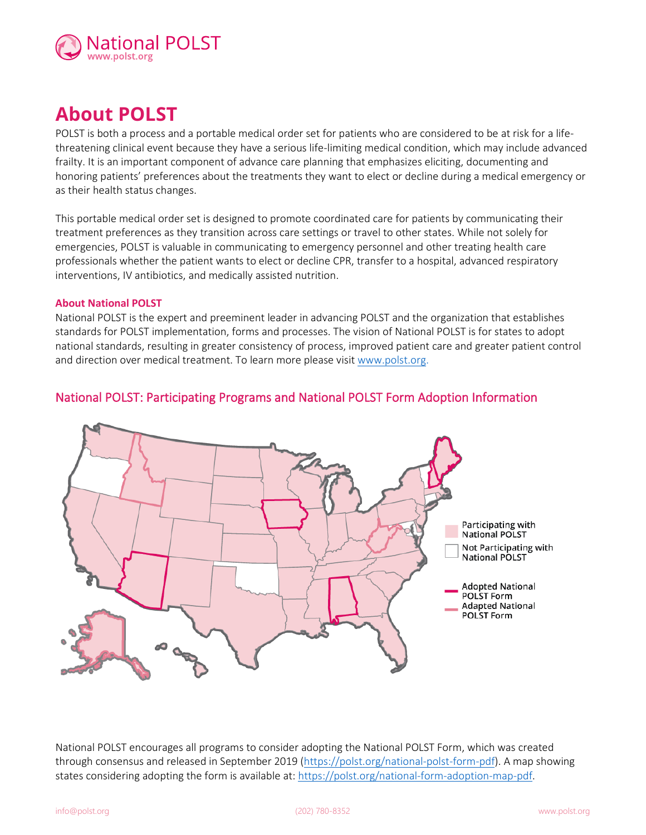

# **About POLST**

POLST is both a process and a portable medical order set for patients who are considered to be at risk for a lifethreatening clinical event because they have a serious life-limiting medical condition, which may include advanced frailty. It is an important component of advance care planning that emphasizes eliciting, documenting and honoring patients' preferences about the treatments they want to elect or decline during a medical emergency or as their health status changes.

This portable medical order set is designed to promote coordinated care for patients by communicating their treatment preferences as they transition across care settings or travel to other states. While not solely for emergencies, POLST is valuable in communicating to emergency personnel and other treating health care professionals whether the patient wants to elect or decline CPR, transfer to a hospital, advanced respiratory interventions, IV antibiotics, and medically assisted nutrition.

#### **About National POLST**

National POLST is the expert and preeminent leader in advancing POLST and the organization that establishes standards for POLST implementation, forms and processes. The vision of National POLST is for states to adopt national standards, resulting in greater consistency of process, improved patient care and greater patient control and direction over medical treatment. To learn more please visit [www.polst.org.](http://www.polst.org/)

# National POLST: Participating Programs and National POLST Form Adoption Information



National POLST encourages all programs to consider adopting the National POLST Form, which was created through consensus and released in September 2019 [\(https://polst.org/national-polst-form-pdf\)](https://polst.org/national-polst-form-pdf). A map showing states considering adopting the form is available at[: https://polst.org/national-form-adoption-map-pdf.](https://polst.org/national-form-adoption-map-pdf)